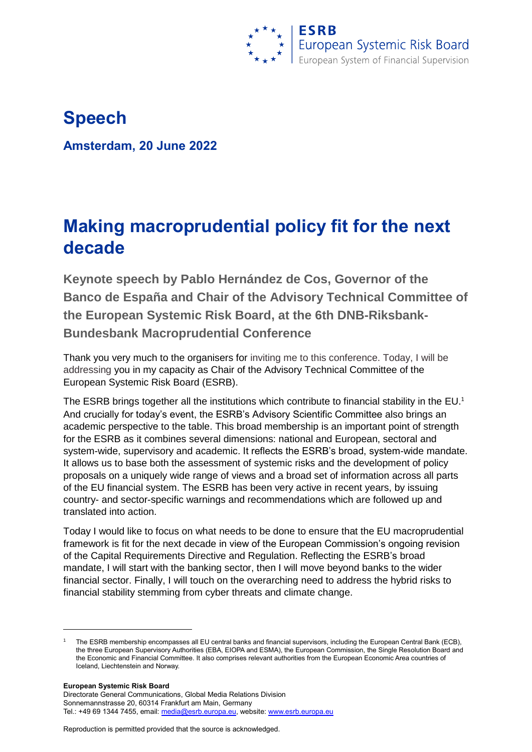

# **Speech**

**Amsterdam, 20 June 2022**

# **Making macroprudential policy fit for the next decade**

**Keynote speech by Pablo Hernández de Cos, Governor of the Banco de España and Chair of the Advisory Technical Committee of the European Systemic Risk Board, at the 6th DNB-Riksbank-Bundesbank Macroprudential Conference** 

Thank you very much to the organisers for inviting me to this conference. Today, I will be addressing you in my capacity as Chair of the Advisory Technical Committee of the European Systemic Risk Board (ESRB).

The ESRB brings together all the institutions which contribute to financial stability in the EU.<sup>1</sup> And crucially for today's event, the ESRB's Advisory Scientific Committee also brings an academic perspective to the table. This broad membership is an important point of strength for the ESRB as it combines several dimensions: national and European, sectoral and system-wide, supervisory and academic. It reflects the ESRB's broad, system-wide mandate. It allows us to base both the assessment of systemic risks and the development of policy proposals on a uniquely wide range of views and a broad set of information across all parts of the EU financial system. The ESRB has been very active in recent years, by issuing country- and sector-specific warnings and recommendations which are followed up and translated into action.

Today I would like to focus on what needs to be done to ensure that the EU macroprudential framework is fit for the next decade in view of the European Commission's ongoing revision of the Capital Requirements Directive and Regulation. Reflecting the ESRB's broad mandate, I will start with the banking sector, then I will move beyond banks to the wider financial sector. Finally, I will touch on the overarching need to address the hybrid risks to financial stability stemming from cyber threats and climate change.

**European Systemic Risk Board**

 $\overline{\phantom{a}}$ 

<sup>1</sup> The ESRB membership encompasses all EU central banks and financial supervisors, including the European Central Bank (ECB), the three European Supervisory Authorities (EBA, EIOPA and ESMA), the European Commission, the Single Resolution Board and the Economic and Financial Committee. It also comprises relevant authorities from the European Economic Area countries of Iceland, Liechtenstein and Norway.

Directorate General Communications, Global Media Relations Division Sonnemannstrasse 20, 60314 Frankfurt am Main, Germany Tel.: +49 69 1344 7455, email[: media@esrb.europa.eu,](mailto:media@esrb.europa.eu) website: www.esrb.europa.eu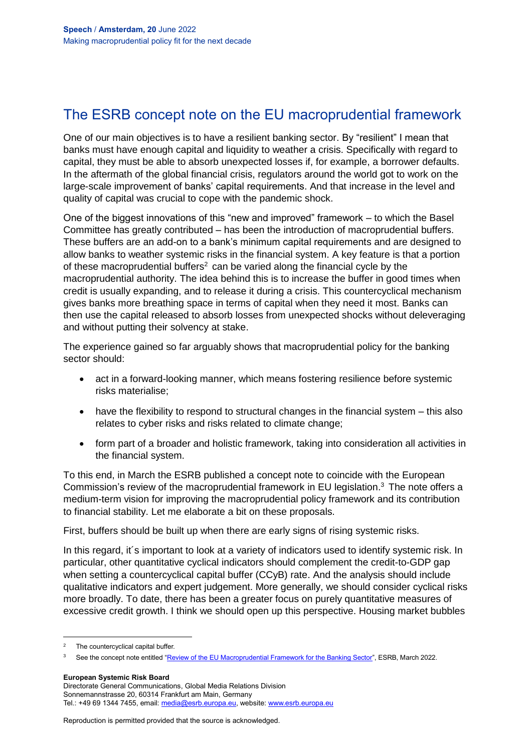## The ESRB concept note on the EU macroprudential framework

One of our main objectives is to have a resilient banking sector. By "resilient" I mean that banks must have enough capital and liquidity to weather a crisis. Specifically with regard to capital, they must be able to absorb unexpected losses if, for example, a borrower defaults. In the aftermath of the global financial crisis, regulators around the world got to work on the large-scale improvement of banks' capital requirements. And that increase in the level and quality of capital was crucial to cope with the pandemic shock.

One of the biggest innovations of this "new and improved" framework – to which the Basel Committee has greatly contributed – has been the introduction of macroprudential buffers. These buffers are an add-on to a bank's minimum capital requirements and are designed to allow banks to weather systemic risks in the financial system. A key feature is that a portion of these macroprudential buffers<sup>2</sup> can be varied along the financial cycle by the macroprudential authority. The idea behind this is to increase the buffer in good times when credit is usually expanding, and to release it during a crisis. This countercyclical mechanism gives banks more breathing space in terms of capital when they need it most. Banks can then use the capital released to absorb losses from unexpected shocks without deleveraging and without putting their solvency at stake.

The experience gained so far arguably shows that macroprudential policy for the banking sector should:

- act in a forward-looking manner, which means fostering resilience before systemic risks materialise;
- have the flexibility to respond to structural changes in the financial system this also relates to cyber risks and risks related to climate change;
- form part of a broader and holistic framework, taking into consideration all activities in the financial system.

To this end, in March the ESRB published a concept note to coincide with the European Commission's review of the macroprudential framework in EU legislation. <sup>3</sup> The note offers a medium-term vision for improving the macroprudential policy framework and its contribution to financial stability. Let me elaborate a bit on these proposals.

First, buffers should be built up when there are early signs of rising systemic risks.

In this regard, it's important to look at a variety of indicators used to identify systemic risk. In particular, other quantitative cyclical indicators should complement the credit-to-GDP gap when setting a countercyclical capital buffer (CCyB) rate. And the analysis should include qualitative indicators and expert judgement. More generally, we should consider cyclical risks more broadly. To date, there has been a greater focus on purely quantitative measures of excessive credit growth. I think we should open up this perspective. Housing market bubbles

 $\overline{\phantom{a}}$ 

**European Systemic Risk Board**

Directorate General Communications, Global Media Relations Division Sonnemannstrasse 20, 60314 Frankfurt am Main, Germany Tel.: +49 69 1344 7455, email[: media@esrb.europa.eu,](mailto:media@esrb.europa.eu) website: www.esrb.europa.eu

<sup>&</sup>lt;sup>2</sup> The countercyclical capital buffer.

<sup>&</sup>lt;sup>3</sup> See the concept note entitled ["Review of the EU Macroprudential Framework for the Banking Sector"](https://www.esrb.europa.eu/pub/pdf/reports/esrb.reviewmacropruframework.220331~65e86a81aa.en.pdf), ESRB, March 2022.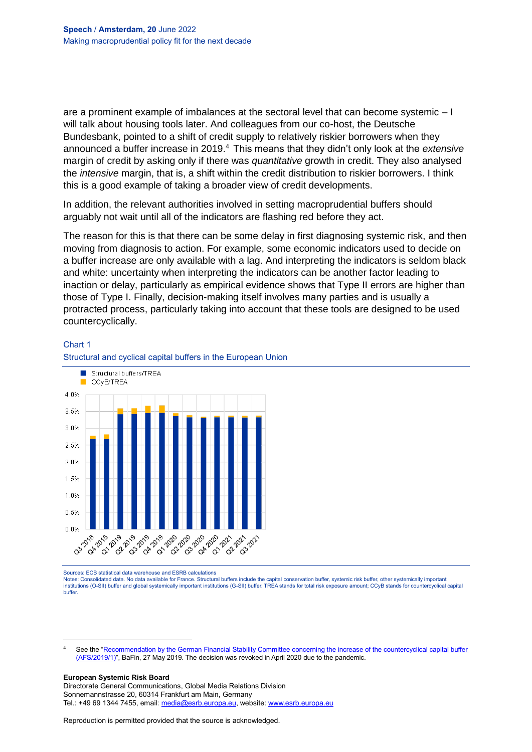are a prominent example of imbalances at the sectoral level that can become systemic – I will talk about housing tools later. And colleagues from our co-host, the Deutsche Bundesbank, pointed to a shift of credit supply to relatively riskier borrowers when they announced a buffer increase in 2019.<sup>4</sup> This means that they didn't only look at the *extensive* margin of credit by asking only if there was *quantitative* growth in credit. They also analysed the *intensive* margin, that is, a shift within the credit distribution to riskier borrowers. I think this is a good example of taking a broader view of credit developments.

In addition, the relevant authorities involved in setting macroprudential buffers should arguably not wait until all of the indicators are flashing red before they act.

The reason for this is that there can be some delay in first diagnosing systemic risk, and then moving from diagnosis to action. For example, some economic indicators used to decide on a buffer increase are only available with a lag. And interpreting the indicators is seldom black and white: uncertainty when interpreting the indicators can be another factor leading to inaction or delay, particularly as empirical evidence shows that Type II errors are higher than those of Type I. Finally, decision-making itself involves many parties and is usually a protracted process, particularly taking into account that these tools are designed to be used countercyclically.

#### Chart 1





Sources: ECB statistical data warehouse and ESRB calculations

Notes: Consolidated data. No data available for France. Structural buffers include the capital conservation buffer, systemic risk buffer, other systemically important institutions (O-SII) buffer and global systemically important institutions (G-SII) buffer. TREA stands for total risk exposure amount; CCyB stands for countercyclical capital buffer.

#### **European Systemic Risk Board**

 $\overline{\phantom{a}}$ 

Directorate General Communications, Global Media Relations Division Sonnemannstrasse 20, 60314 Frankfurt am Main, Germany Tel.: +49 69 1344 7455, email[: media@esrb.europa.eu,](mailto:media@esrb.europa.eu) website: www.esrb.europa.eu

See the ["Recommendation by the German Financial Stability Committee](https://www.bafin.de/SharedDocs/Downloads/EN/Aufsichtsrecht/dl_empfehlung_afs_190527_en.html?nn=7857744) concerning the increase of the countercyclical capital buffer [\(AFS/2019/1\)"](https://www.bafin.de/SharedDocs/Downloads/EN/Aufsichtsrecht/dl_empfehlung_afs_190527_en.html?nn=7857744), BaFin, 27 May 2019. The decision was revoked in April 2020 due to the pandemic.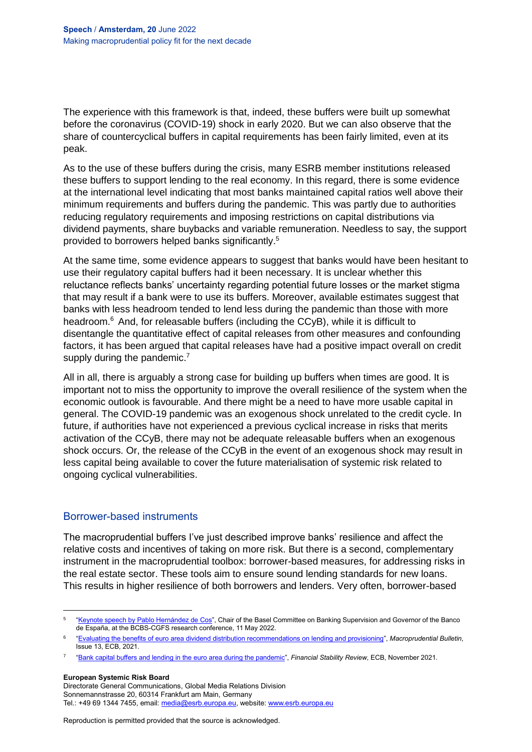The experience with this framework is that, indeed, these buffers were built up somewhat before the coronavirus (COVID-19) shock in early 2020. But we can also observe that the share of countercyclical buffers in capital requirements has been fairly limited, even at its peak.

As to the use of these buffers during the crisis, many ESRB member institutions released these buffers to support lending to the real economy. In this regard, there is some evidence at the international level indicating that most banks maintained capital ratios well above their minimum requirements and buffers during the pandemic. This was partly due to authorities reducing regulatory requirements and imposing restrictions on capital distributions via dividend payments, share buybacks and variable remuneration. Needless to say, the support provided to borrowers helped banks significantly. 5

At the same time, some evidence appears to suggest that banks would have been hesitant to use their regulatory capital buffers had it been necessary. It is unclear whether this reluctance reflects banks' uncertainty regarding potential future losses or the market stigma that may result if a bank were to use its buffers. Moreover, available estimates suggest that banks with less headroom tended to lend less during the pandemic than those with more headroom.<sup>6</sup> And, for releasable buffers (including the CCyB), while it is difficult to disentangle the quantitative effect of capital releases from other measures and confounding factors, it has been argued that capital releases have had a positive impact overall on credit supply during the pandemic.<sup>7</sup>

All in all, there is arguably a strong case for building up buffers when times are good. It is important not to miss the opportunity to improve the overall resilience of the system when the economic outlook is favourable. And there might be a need to have more usable capital in general. The COVID-19 pandemic was an exogenous shock unrelated to the credit cycle. In future, if authorities have not experienced a previous cyclical increase in risks that merits activation of the CCyB, there may not be adequate releasable buffers when an exogenous shock occurs. Or, the release of the CCyB in the event of an exogenous shock may result in less capital being available to cover the future materialisation of systemic risk related to ongoing cyclical vulnerabilities.

### Borrower-based instruments

The macroprudential buffers I've just described improve banks' resilience and affect the relative costs and incentives of taking on more risk. But there is a second, complementary instrument in the macroprudential toolbox: borrower-based measures, for addressing risks in the real estate sector. These tools aim to ensure sound lending standards for new loans. This results in higher resilience of both borrowers and lenders. Very often, borrower-based

**European Systemic Risk Board**

 $\overline{\phantom{a}}$ 

Directorate General Communications, Global Media Relations Division Sonnemannstrasse 20, 60314 Frankfurt am Main, Germany Tel.: +49 69 1344 7455, email[: media@esrb.europa.eu,](mailto:media@esrb.europa.eu) website: www.esrb.europa.eu

<sup>&</sup>lt;sup>5</sup> ["Keynote speech by Pablo Hernández de Cos",](https://www.bis.org/speeches/sp220511.htm) Chair of the Basel Committee on Banking Supervision and Governor of the Banco de España, at the BCBS-CGFS research conference, 11 May 2022.

<sup>6</sup> ["Evaluating the benefits of euro area dividend distribution recommendations on lending and provisioning"](https://www.ecb.europa.eu/pub/financial-stability/macroprudential-bulletin/html/ecb.mpbu202106_2~90dc75f42d.en.html), *Macroprudential Bulletin*, Issue 13, ECB, 2021.

<sup>7</sup> ["Bank capital buffers and lending in the euro area during the pandemic"](https://www.ecb.europa.eu/pub/financial-stability/fsr/html/ecb.fsr202111~8b0aebc817.en.html#toc43), *Financial Stability Review*, ECB, November 2021.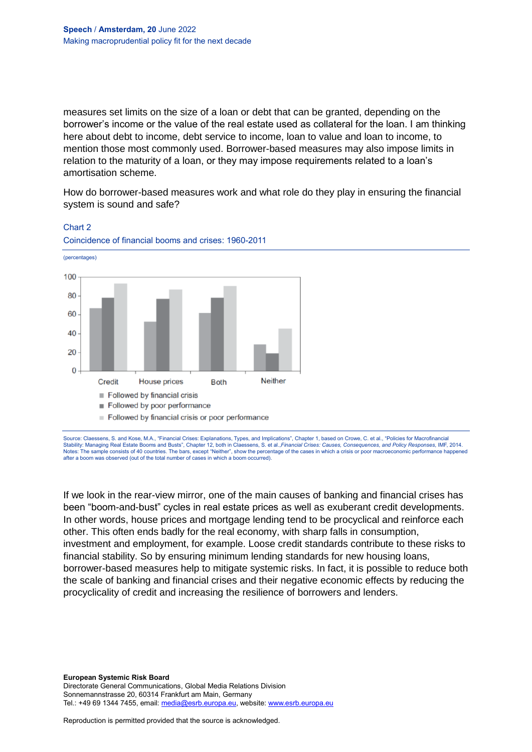measures set limits on the size of a loan or debt that can be granted, depending on the borrower's income or the value of the real estate used as collateral for the loan. I am thinking here about debt to income, debt service to income, loan to value and loan to income, to mention those most commonly used. Borrower-based measures may also impose limits in relation to the maturity of a loan, or they may impose requirements related to a loan's amortisation scheme.

How do borrower-based measures work and what role do they play in ensuring the financial system is sound and safe?



### Chart 2 Coincidence of financial booms and crises: 1960-2011

Source: Claessens, S. and Kose, M.A., "Financial Crises: Explanations, Types, and Implications", Chapter 1, based on Crowe, C. et al., "Policies for Macrofinancial Stability: Managing Real Estate Booms and Busts", Chapter 12, both in Claessens, S. et al.,*Financial Crises: Causes, Consequences, and Policy Responses*, IMF, 2014. Notes: The sample consists of 40 countries. The bars, except "Neither", show the percentage of the cases in which a crisis or poor macroeconomic performance hap after a boom was observed (out of the total number of cases in which a boom occurred).

If we look in the rear-view mirror, one of the main causes of banking and financial crises has been "boom-and-bust" cycles in real estate prices as well as exuberant credit developments. In other words, house prices and mortgage lending tend to be procyclical and reinforce each other. This often ends badly for the real economy, with sharp falls in consumption, investment and employment, for example. Loose credit standards contribute to these risks to financial stability. So by ensuring minimum lending standards for new housing loans, borrower-based measures help to mitigate systemic risks. In fact, it is possible to reduce both the scale of banking and financial crises and their negative economic effects by reducing the procyclicality of credit and increasing the resilience of borrowers and lenders.

**European Systemic Risk Board** Directorate General Communications, Global Media Relations Division Sonnemannstrasse 20, 60314 Frankfurt am Main, Germany Tel.: +49 69 1344 7455, email[: media@esrb.europa.eu,](mailto:media@esrb.europa.eu) website: www.esrb.europa.eu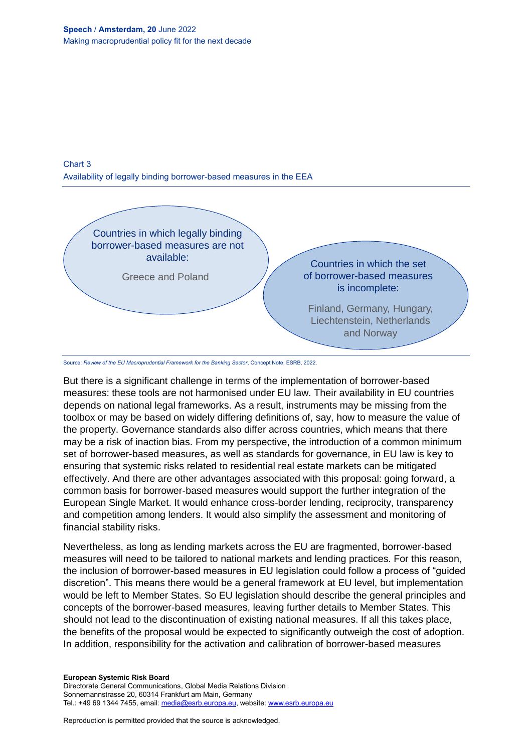



Source: *Review of the EU Macroprudential Framework for the Banking Sector*, Concept Note, ESRB, 2022.

But there is a significant challenge in terms of the implementation of borrower-based measures: these tools are not harmonised under EU law. Their availability in EU countries depends on national legal frameworks. As a result, instruments may be missing from the toolbox or may be based on widely differing definitions of, say, how to measure the value of the property. Governance standards also differ across countries, which means that there may be a risk of inaction bias. From my perspective, the introduction of a common minimum set of borrower-based measures, as well as standards for governance, in EU law is key to ensuring that systemic risks related to residential real estate markets can be mitigated effectively. And there are other advantages associated with this proposal: going forward, a common basis for borrower-based measures would support the further integration of the European Single Market. It would enhance cross-border lending, reciprocity, transparency and competition among lenders. It would also simplify the assessment and monitoring of financial stability risks.

Nevertheless, as long as lending markets across the EU are fragmented, borrower-based measures will need to be tailored to national markets and lending practices. For this reason, the inclusion of borrower-based measures in EU legislation could follow a process of "guided discretion". This means there would be a general framework at EU level, but implementation would be left to Member States. So EU legislation should describe the general principles and concepts of the borrower-based measures, leaving further details to Member States. This should not lead to the discontinuation of existing national measures. If all this takes place, the benefits of the proposal would be expected to significantly outweigh the cost of adoption. In addition, responsibility for the activation and calibration of borrower-based measures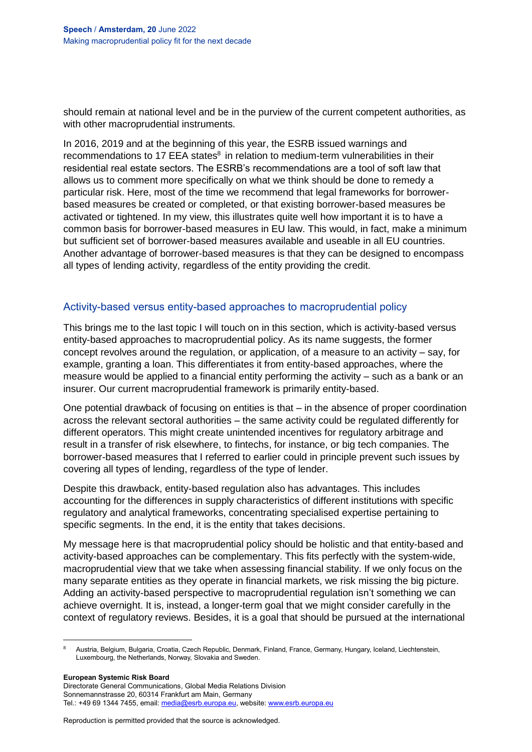should remain at national level and be in the purview of the current competent authorities, as with other macroprudential instruments.

In 2016, 2019 and at the beginning of this year, the ESRB issued warnings and recommendations to 17 EEA states<sup>8</sup> in relation to medium-term vulnerabilities in their residential real estate sectors. The ESRB's recommendations are a tool of soft law that allows us to comment more specifically on what we think should be done to remedy a particular risk. Here, most of the time we recommend that legal frameworks for borrowerbased measures be created or completed, or that existing borrower-based measures be activated or tightened. In my view, this illustrates quite well how important it is to have a common basis for borrower-based measures in EU law. This would, in fact, make a minimum but sufficient set of borrower-based measures available and useable in all EU countries. Another advantage of borrower-based measures is that they can be designed to encompass all types of lending activity, regardless of the entity providing the credit.

### Activity-based versus entity-based approaches to macroprudential policy

This brings me to the last topic I will touch on in this section, which is activity-based versus entity-based approaches to macroprudential policy. As its name suggests, the former concept revolves around the regulation, or application, of a measure to an activity – say, for example, granting a loan. This differentiates it from entity-based approaches, where the measure would be applied to a financial entity performing the activity – such as a bank or an insurer. Our current macroprudential framework is primarily entity-based.

One potential drawback of focusing on entities is that – in the absence of proper coordination across the relevant sectoral authorities – the same activity could be regulated differently for different operators. This might create unintended incentives for regulatory arbitrage and result in a transfer of risk elsewhere, to fintechs, for instance, or big tech companies. The borrower-based measures that I referred to earlier could in principle prevent such issues by covering all types of lending, regardless of the type of lender.

Despite this drawback, entity-based regulation also has advantages. This includes accounting for the differences in supply characteristics of different institutions with specific regulatory and analytical frameworks, concentrating specialised expertise pertaining to specific segments. In the end, it is the entity that takes decisions.

My message here is that macroprudential policy should be holistic and that entity-based and activity-based approaches can be complementary. This fits perfectly with the system-wide, macroprudential view that we take when assessing financial stability. If we only focus on the many separate entities as they operate in financial markets, we risk missing the big picture. Adding an activity-based perspective to macroprudential regulation isn't something we can achieve overnight. It is, instead, a longer-term goal that we might consider carefully in the context of regulatory reviews. Besides, it is a goal that should be pursued at the international

**European Systemic Risk Board**

 $\overline{\phantom{a}}$ 

<sup>8</sup> Austria, Belgium, Bulgaria, Croatia, Czech Republic, Denmark, Finland, France, Germany, Hungary, Iceland, Liechtenstein, Luxembourg, the Netherlands, Norway, Slovakia and Sweden.

Directorate General Communications, Global Media Relations Division Sonnemannstrasse 20, 60314 Frankfurt am Main, Germany Tel.: +49 69 1344 7455, email[: media@esrb.europa.eu,](mailto:media@esrb.europa.eu) website: www.esrb.europa.eu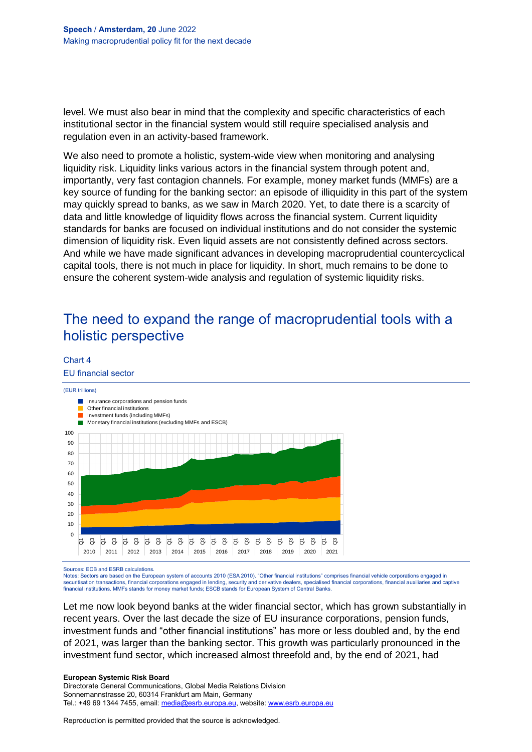level. We must also bear in mind that the complexity and specific characteristics of each institutional sector in the financial system would still require specialised analysis and regulation even in an activity-based framework.

We also need to promote a holistic, system-wide view when monitoring and analysing liquidity risk. Liquidity links various actors in the financial system through potent and, importantly, very fast contagion channels. For example, money market funds (MMFs) are a key source of funding for the banking sector: an episode of illiquidity in this part of the system may quickly spread to banks, as we saw in March 2020. Yet, to date there is a scarcity of data and little knowledge of liquidity flows across the financial system. Current liquidity standards for banks are focused on individual institutions and do not consider the systemic dimension of liquidity risk. Even liquid assets are not consistently defined across sectors. And while we have made significant advances in developing macroprudential countercyclical capital tools, there is not much in place for liquidity. In short, much remains to be done to ensure the coherent system-wide analysis and regulation of systemic liquidity risks.

## The need to expand the range of macroprudential tools with a holistic perspective

#### Chart 4

EU financial sector



Sources: ECB and ESRB calculations.

Notes: Sectors are based on the European system of accounts 2010 (ESA 2010). "Other financial institutions" comprises financial vehicle corporations engaged in securitisation transactions, financial corporations engaged in lending, security and derivative dealers, specialised financial corporations, financial auxiliaries and captive financial institutions. MMFs stands for money market funds; ESCB stands for European System of Central Banks.

Let me now look beyond banks at the wider financial sector, which has grown substantially in recent years. Over the last decade the size of EU insurance corporations, pension funds, investment funds and "other financial institutions" has more or less doubled and, by the end of 2021, was larger than the banking sector. This growth was particularly pronounced in the investment fund sector, which increased almost threefold and, by the end of 2021, had

**European Systemic Risk Board** Directorate General Communications, Global Media Relations Division Sonnemannstrasse 20, 60314 Frankfurt am Main, Germany Tel.: +49 69 1344 7455, email[: media@esrb.europa.eu,](mailto:media@esrb.europa.eu) website: www.esrb.europa.eu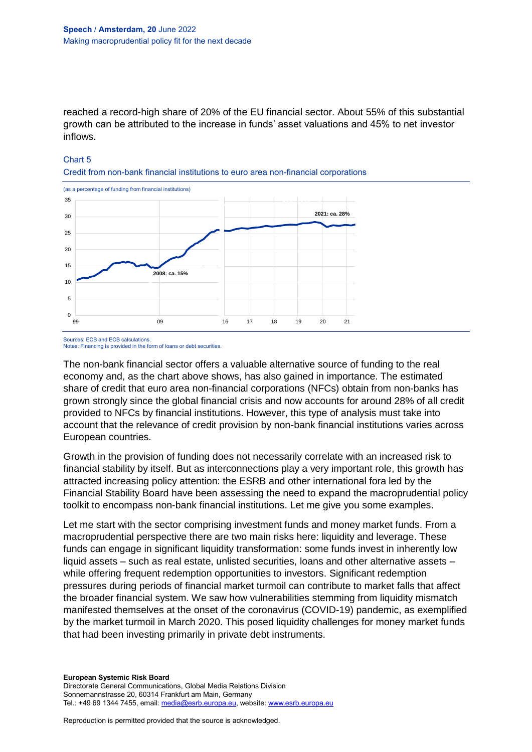reached a record-high share of 20% of the EU financial sector. About 55% of this substantial growth can be attributed to the increase in funds' asset valuations and 45% to net investor inflows.

#### Chart 5

Credit from non-bank financial institutions to euro area non-financial corporations



Sources: ECB and ECB calculations. Notes: Financing is provided in the form of loans or debt securities.

The non-bank financial sector offers a valuable alternative source of funding to the real economy and, as the chart above shows, has also gained in importance. The estimated share of credit that euro area non-financial corporations (NFCs) obtain from non-banks has grown strongly since the global financial crisis and now accounts for around 28% of all credit provided to NFCs by financial institutions. However, this type of analysis must take into account that the relevance of credit provision by non-bank financial institutions varies across European countries.

Growth in the provision of funding does not necessarily correlate with an increased risk to financial stability by itself. But as interconnections play a very important role, this growth has attracted increasing policy attention: the ESRB and other international fora led by the Financial Stability Board have been assessing the need to expand the macroprudential policy toolkit to encompass non-bank financial institutions. Let me give you some examples.

Let me start with the sector comprising investment funds and money market funds. From a macroprudential perspective there are two main risks here: liquidity and leverage. These funds can engage in significant liquidity transformation: some funds invest in inherently low liquid assets – such as real estate, unlisted securities, loans and other alternative assets – while offering frequent redemption opportunities to investors. Significant redemption pressures during periods of financial market turmoil can contribute to market falls that affect the broader financial system. We saw how vulnerabilities stemming from liquidity mismatch manifested themselves at the onset of the coronavirus (COVID-19) pandemic, as exemplified by the market turmoil in March 2020. This posed liquidity challenges for money market funds that had been investing primarily in private debt instruments.

**European Systemic Risk Board** Directorate General Communications, Global Media Relations Division Sonnemannstrasse 20, 60314 Frankfurt am Main, Germany Tel.: +49 69 1344 7455, email[: media@esrb.europa.eu,](mailto:media@esrb.europa.eu) website: www.esrb.europa.eu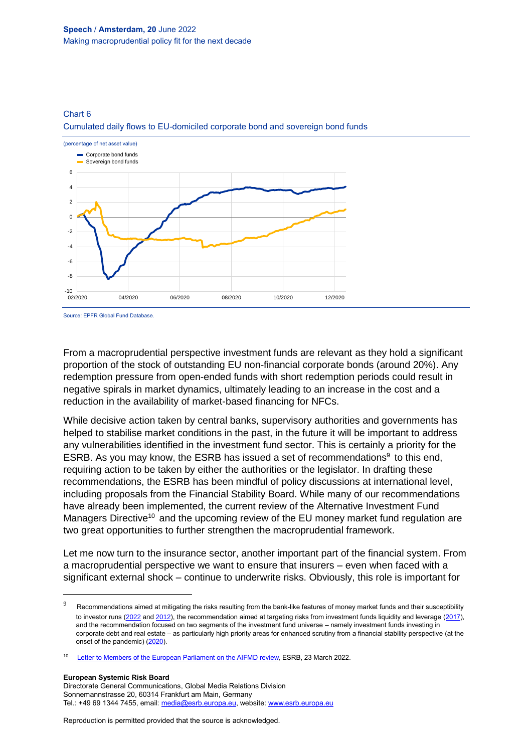#### Chart 6

Cumulated daily flows to EU-domiciled corporate bond and sovereign bond funds



Source: EPFR Global Fund Database.

From a macroprudential perspective investment funds are relevant as they hold a significant proportion of the stock of outstanding EU non-financial corporate bonds (around 20%). Any redemption pressure from open-ended funds with short redemption periods could result in negative spirals in market dynamics, ultimately leading to an increase in the cost and a reduction in the availability of market-based financing for NFCs.

While decisive action taken by central banks, supervisory authorities and governments has helped to stabilise market conditions in the past, in the future it will be important to address any vulnerabilities identified in the investment fund sector. This is certainly a priority for the ESRB. As you may know, the ESRB has issued a set of recommendations<sup>9</sup> to this end, requiring action to be taken by either the authorities or the legislator. In drafting these recommendations, the ESRB has been mindful of policy discussions at international level, including proposals from the Financial Stability Board. While many of our recommendations have already been implemented, the current review of the Alternative Investment Fund Managers Directive<sup>10</sup> and the upcoming review of the EU money market fund regulation are two great opportunities to further strengthen the macroprudential framework.

Let me now turn to the insurance sector, another important part of the financial system. From a macroprudential perspective we want to ensure that insurers – even when faced with a significant external shock – continue to underwrite risks. Obviously, this role is important for

**European Systemic Risk Board**

 $\overline{\phantom{a}}$ 

<sup>9</sup> Recommendations aimed at mitigating the risks resulting from the bank-like features of money market funds and their susceptibility to investor runs [\(2022](https://www.esrb.europa.eu/pub/pdf/recommendations/esrb.recommendation220125_on_reform_of_money_market_funds~30936c5629.en.pdf?26a37498f9b2917912eb6bd1dc5824d7) an[d 2012\)](https://www.esrb.europa.eu/pub/pdf/recommendations/ESRB_2012_1.en.pdf?8e57aeb9f953421e526109380cec78bc), the recommendation aimed at targeting risks from investment funds liquidity and leverage [\(2017\),](https://www.esrb.europa.eu/pub/pdf/recommendations/esrb.recommendation180214_ESRB_2017_6.en.pdf?c8d7003d2f6d7609c348f4a93ced0add) and the recommendation focused on two segments of the investment fund universe – namely investment funds investing in corporate debt and real estate – as particularly high priority areas for enhanced scrutiny from a financial stability perspective (at the onset of the pandemic) [\(2020\)](https://www.esrb.europa.eu/pub/pdf/recommendations/esrb.recommendation200514_ESRB_on_liquidity_risks_in_investment_funds~4a3972a25d.en.pdf?9903de66f9dbd6783563ae3a4f76febb).

<sup>10</sup> [Letter to Members of the European Parliament on the AIFMD review,](https://www.esrb.europa.eu/pub/pdf/other/esrb.letter220323_on__review_aifmd_to_EU_Parliament~92ed43585d.en.pdf?facf1f68e50615a800024951a580e3d4) ESRB, 23 March 2022.

Directorate General Communications, Global Media Relations Division Sonnemannstrasse 20, 60314 Frankfurt am Main, Germany Tel.: +49 69 1344 7455, email[: media@esrb.europa.eu,](mailto:media@esrb.europa.eu) website: www.esrb.europa.eu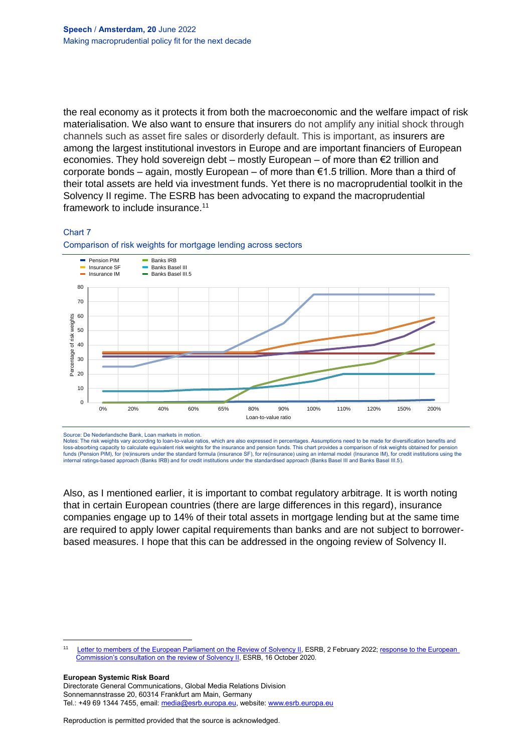the real economy as it protects it from both the macroeconomic and the welfare impact of risk materialisation. We also want to ensure that insurers do not amplify any initial shock through channels such as asset fire sales or disorderly default. This is important, as insurers are among the largest institutional investors in Europe and are important financiers of European economies. They hold sovereign debt – mostly European – of more than  $\epsilon$ 2 trillion and corporate bonds – again, mostly European – of more than  $\epsilon$ 1.5 trillion. More than a third of their total assets are held via investment funds. Yet there is no macroprudential toolkit in the Solvency II regime. The ESRB has been advocating to expand the macroprudential framework to include insurance. 11

#### Chart 7



Comparison of risk weights for mortgage lending across sectors

Source: De Nederlandsche Bank, Loan markets in motion.

Notes: The risk weights vary according to loan-to-value ratios, which are also expressed in percentages. Assumptions need to be made for diversification benefits and loss-absorbing capacity to calculate equivalent risk weights for the insurance and pension funds. This chart provides a comparison of risk weights obtained for pension funds (Pension PIM), for (re)insurers under the standard formula (insurance SF), for re(insurance) using an internal model (Insurance IM), for credit institutions using the internal ratings-based approach (Banks IRB) and for credit institutions under the standardised approach (Banks Basel III and Banks Basel III.5).

Also, as I mentioned earlier, it is important to combat regulatory arbitrage. It is worth noting that in certain European countries (there are large differences in this regard), insurance companies engage up to 14% of their total assets in mortgage lending but at the same time are required to apply lower capital requirements than banks and are not subject to borrowerbased measures. I hope that this can be addressed in the ongoing review of Solvency II.

**European Systemic Risk Board**

 $\overline{\phantom{a}}$ 

<sup>11</sup> [Letter to members of the European Parliament on the Review of Solvency II,](https://www.esrb.europa.eu/pub/pdf/other/esrb.letter220202_on_solvencyii_to_EU_Parliament~e573a2038c.en.pdf?3859e10cb66bea1174e8e15adaf1bc80) ESRB, 2 February 2022; response to the European Commission's consultation [on the review of Solvency II,](https://www.esrb.europa.eu/pub/pdf/other/esrb.letter201016_on_response_to_Solvency_II_review_consultation~8898c97469.en.pdf?acea8da5f1337e2ccd5eeff788656a17) ESRB, 16 October 2020.

Directorate General Communications, Global Media Relations Division Sonnemannstrasse 20, 60314 Frankfurt am Main, Germany Tel.: +49 69 1344 7455, email[: media@esrb.europa.eu,](mailto:media@esrb.europa.eu) website: www.esrb.europa.eu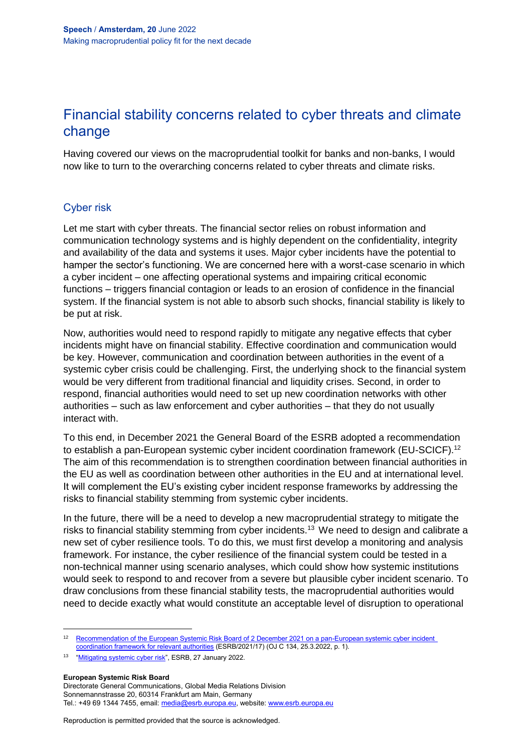## Financial stability concerns related to cyber threats and climate change

Having covered our views on the macroprudential toolkit for banks and non-banks, I would now like to turn to the overarching concerns related to cyber threats and climate risks.

## Cyber risk

Let me start with cyber threats. The financial sector relies on robust information and communication technology systems and is highly dependent on the confidentiality, integrity and availability of the data and systems it uses. Major cyber incidents have the potential to hamper the sector's functioning. We are concerned here with a worst-case scenario in which a cyber incident – one affecting operational systems and impairing critical economic functions – triggers financial contagion or leads to an erosion of confidence in the financial system. If the financial system is not able to absorb such shocks, financial stability is likely to be put at risk.

Now, authorities would need to respond rapidly to mitigate any negative effects that cyber incidents might have on financial stability. Effective coordination and communication would be key. However, communication and coordination between authorities in the event of a systemic cyber crisis could be challenging. First, the underlying shock to the financial system would be very different from traditional financial and liquidity crises. Second, in order to respond, financial authorities would need to set up new coordination networks with other authorities – such as law enforcement and cyber authorities – that they do not usually interact with.

To this end, in December 2021 the General Board of the ESRB adopted a recommendation to establish a pan-European systemic cyber incident coordination framework (EU-SCICF).<sup>12</sup> The aim of this recommendation is to strengthen coordination between financial authorities in the EU as well as coordination between other authorities in the EU and at international level. It will complement the EU's existing cyber incident response frameworks by addressing the risks to financial stability stemming from systemic cyber incidents.

In the future, there will be a need to develop a new macroprudential strategy to mitigate the risks to financial stability stemming from cyber incidents.<sup>13</sup> We need to design and calibrate a new set of cyber resilience tools. To do this, we must first develop a monitoring and analysis framework. For instance, the cyber resilience of the financial system could be tested in a non-technical manner using scenario analyses, which could show how systemic institutions would seek to respond to and recover from a severe but plausible cyber incident scenario. To draw conclusions from these financial stability tests, the macroprudential authorities would need to decide exactly what would constitute an acceptable level of disruption to operational

**European Systemic Risk Board**

 $\overline{\phantom{a}}$ 

Directorate General Communications, Global Media Relations Division Sonnemannstrasse 20, 60314 Frankfurt am Main, Germany Tel.: +49 69 1344 7455, email[: media@esrb.europa.eu,](mailto:media@esrb.europa.eu) website: www.esrb.europa.eu

<sup>&</sup>lt;sup>12</sup> Recommendation of the European Systemic Risk Board of 2 December 2021 on a pan-European systemic cyber incident [coordination framework for relevant authorities](https://eur-lex.europa.eu/legal-content/EN/TXT/?uri=CELEX%3A32022Y0325%2801%29) (ESRB/2021/17) (OJ C 134, 25.3.2022, p. 1).

<sup>&</sup>lt;sup>13</sup> ["Mitigating systemic cyber risk"](https://www.esrb.europa.eu/pub/pdf/reports/esrb.SystemiCyberRisk.220127~b6655fa027.en.pdf?bd2b11e760cff336f84c983133dd23dc), ESRB, 27 January 2022.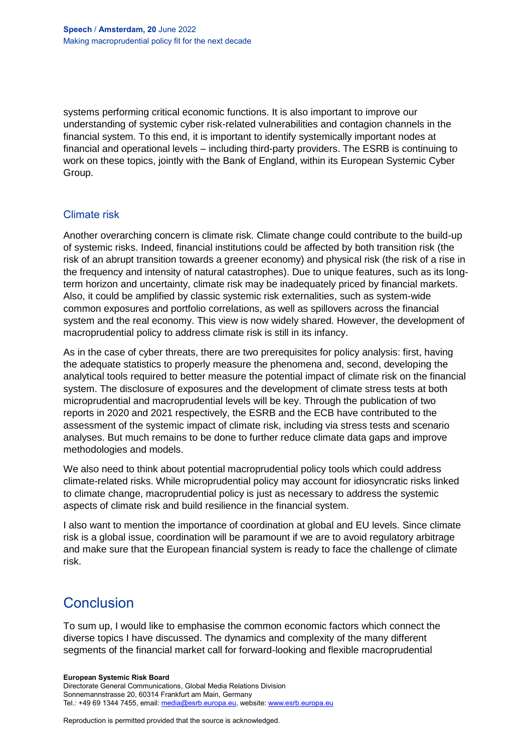systems performing critical economic functions. It is also important to improve our understanding of systemic cyber risk-related vulnerabilities and contagion channels in the financial system. To this end, it is important to identify systemically important nodes at financial and operational levels – including third-party providers. The ESRB is continuing to work on these topics, jointly with the Bank of England, within its European Systemic Cyber Group.

### Climate risk

Another overarching concern is climate risk. Climate change could contribute to the build-up of systemic risks. Indeed, financial institutions could be affected by both transition risk (the risk of an abrupt transition towards a greener economy) and physical risk (the risk of a rise in the frequency and intensity of natural catastrophes). Due to unique features, such as its longterm horizon and uncertainty, climate risk may be inadequately priced by financial markets. Also, it could be amplified by classic systemic risk externalities, such as system-wide common exposures and portfolio correlations, as well as spillovers across the financial system and the real economy. This view is now widely shared. However, the development of macroprudential policy to address climate risk is still in its infancy.

As in the case of cyber threats, there are two prerequisites for policy analysis: first, having the adequate statistics to properly measure the phenomena and, second, developing the analytical tools required to better measure the potential impact of climate risk on the financial system. The disclosure of exposures and the development of climate stress tests at both microprudential and macroprudential levels will be key. Through the publication of two reports in 2020 and 2021 respectively, the ESRB and the ECB have contributed to the assessment of the systemic impact of climate risk, including via stress tests and scenario analyses. But much remains to be done to further reduce climate data gaps and improve methodologies and models.

We also need to think about potential macroprudential policy tools which could address climate-related risks. While microprudential policy may account for idiosyncratic risks linked to climate change, macroprudential policy is just as necessary to address the systemic aspects of climate risk and build resilience in the financial system.

I also want to mention the importance of coordination at global and EU levels. Since climate risk is a global issue, coordination will be paramount if we are to avoid regulatory arbitrage and make sure that the European financial system is ready to face the challenge of climate risk.

## **Conclusion**

To sum up, I would like to emphasise the common economic factors which connect the diverse topics I have discussed. The dynamics and complexity of the many different segments of the financial market call for forward-looking and flexible macroprudential